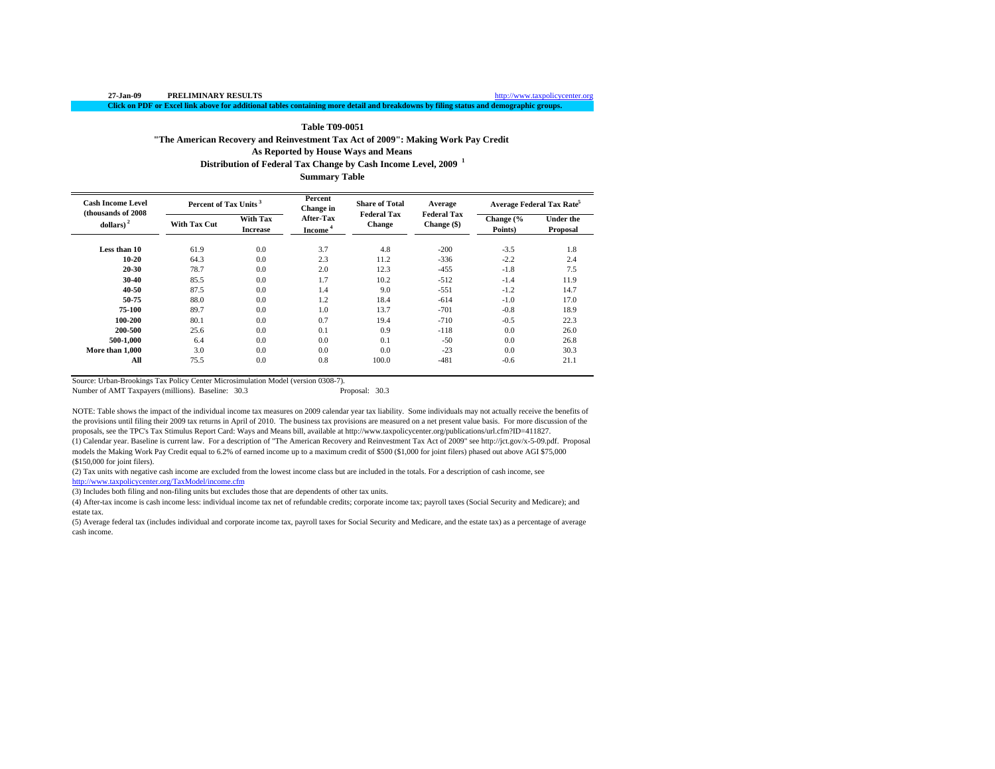http://www.taxpolicycenter.org

**Click on PDF or Excel link above for additional tables containing more detail and breakdowns by filing status and demographic groups.**

#### **Table T09-0051**

**"The American Recovery and Reinvestment Tax Act of 2009": Making Work Pay Credit**

**As Reported by House Ways and Means**

**Distribution of Federal Tax Change by Cash Income Level, 2009 <sup>1</sup>**

**Summary Table**

| <b>Cash Income Level</b><br>(thousands of 2008) | Percent of Tax Units <sup>3</sup> |                                    | Percent<br><b>Change</b> in      | <b>Share of Total</b><br><b>Federal Tax</b> | Average<br><b>Federal Tax</b> |                      | Average Federal Tax Rate |
|-------------------------------------------------|-----------------------------------|------------------------------------|----------------------------------|---------------------------------------------|-------------------------------|----------------------|--------------------------|
| dollars) <sup>2</sup>                           | <b>With Tax Cut</b>               | <b>With Tax</b><br><b>Increase</b> | After-Tax<br>Income <sup>4</sup> | <b>Change</b>                               | Change (\$)                   | Change (%<br>Points) | Under the<br>Proposal    |
| Less than 10                                    | 61.9                              | 0.0                                | 3.7                              | 4.8                                         | $-200$                        | $-3.5$               | 1.8                      |
| $10 - 20$                                       | 64.3                              | 0.0                                | 2.3                              | 11.2                                        | $-336$                        | $-2.2$               | 2.4                      |
| 20-30                                           | 78.7                              | 0.0                                | 2.0                              | 12.3                                        | $-455$                        | $-1.8$               | 7.5                      |
| 30-40                                           | 85.5                              | 0.0                                | 1.7                              | 10.2                                        | $-512$                        | $-1.4$               | 11.9                     |
| 40-50                                           | 87.5                              | 0.0                                | 1.4                              | 9.0                                         | $-551$                        | $-1.2$               | 14.7                     |
| 50-75                                           | 88.0                              | 0.0                                | 1.2                              | 18.4                                        | $-614$                        | $-1.0$               | 17.0                     |
| 75-100                                          | 89.7                              | 0.0                                | 1.0                              | 13.7                                        | $-701$                        | $-0.8$               | 18.9                     |
| 100-200                                         | 80.1                              | 0.0                                | 0.7                              | 19.4                                        | $-710$                        | $-0.5$               | 22.3                     |
| 200-500                                         | 25.6                              | 0.0                                | 0.1                              | 0.9                                         | $-118$                        | 0.0                  | 26.0                     |
| 500-1.000                                       | 6.4                               | 0.0                                | 0.0                              | 0.1                                         | $-50$                         | 0.0                  | 26.8                     |
| More than 1.000                                 | 3.0                               | 0.0                                | 0.0                              | 0.0                                         | $-23$                         | 0.0                  | 30.3                     |
| All                                             | 75.5                              | 0.0                                | 0.8                              | 100.0                                       | $-481$                        | $-0.6$               | 21.1                     |

Source: Urban-Brookings Tax Policy Center Microsimulation Model (version 0308-7).

Number of AMT Taxpayers (millions). Baseline: 30.3

NOTE: Table shows the impact of the individual income tax measures on 2009 calendar year tax liability. Some individuals may not actually receive the benefits of the provisions until filing their 2009 tax returns in April of 2010. The business tax provisions are measured on a net present value basis. For more discussion of the proposals, see the TPC's Tax Stimulus Report Card: Ways and Means bill, available at http://www.taxpolicycenter.org/publications/url.cfm?ID=411827. (1) Calendar year. Baseline is current law. For a description of "The American Recovery and Reinvestment Tax Act of 2009" see http://jct.gov/x-5-09.pdf. Proposal models the Making Work Pay Credit equal to 6.2% of earned income up to a maximum credit of \$500 (\$1,000 for joint filers) phased out above AGI \$75,000 (\$150,000 for joint filers).

(2) Tax units with negative cash income are excluded from the lowest income class but are included in the totals. For a description of cash income, see http://www.taxpolicycenter.org/TaxModel/income.cfm

(3) Includes both filing and non-filing units but excludes those that are dependents of other tax units.

(4) After-tax income is cash income less: individual income tax net of refundable credits; corporate income tax; payroll taxes (Social Security and Medicare); and estate tax.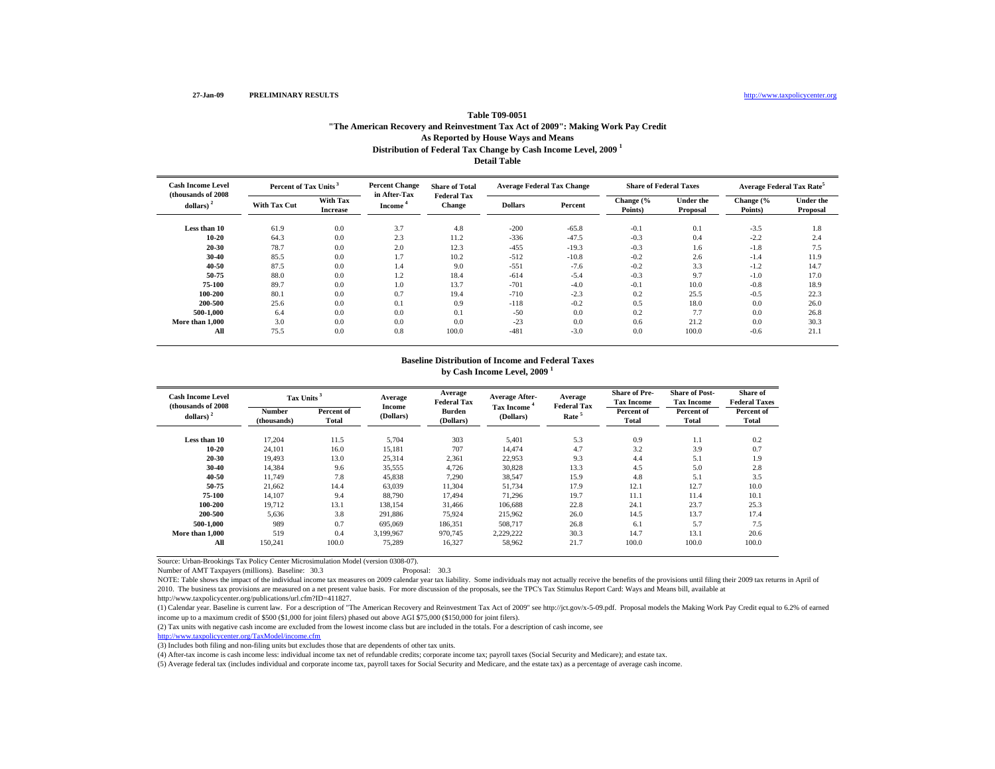## **Distribution of Federal Tax Change by Cash Income Level, 2009 <sup>1</sup> Detail TableTable T09-0051"The American Recovery and Reinvestment Tax Act of 2009": Making Work Pay Credit As Reported by House Ways and Means**

| <b>Cash Income Level</b>            | Percent of Tax Units <sup>3</sup> |                                    | <b>Percent Change</b>               | <b>Share of Total</b>        | <b>Average Federal Tax Change</b> |         | <b>Share of Federal Taxes</b> |                       | <b>Average Federal Tax Rate<sup>5</sup></b> |                       |
|-------------------------------------|-----------------------------------|------------------------------------|-------------------------------------|------------------------------|-----------------------------------|---------|-------------------------------|-----------------------|---------------------------------------------|-----------------------|
| (thousands of 2008)<br>dollars) $2$ | <b>With Tax Cut</b>               | <b>With Tax</b><br><b>Increase</b> | in After-Tax<br>Income <sup>4</sup> | <b>Federal Tax</b><br>Change | <b>Dollars</b>                    | Percent | Change (%<br>Points)          | Under the<br>Proposal | Change (%<br>Points)                        | Under the<br>Proposal |
| Less than 10                        | 61.9                              | 0.0                                | 3.7                                 | 4.8                          | $-200$                            | $-65.8$ | $-0.1$                        | 0.1                   | $-3.5$                                      | 1.8                   |
| $10 - 20$                           | 64.3                              | 0.0                                | 2.3                                 | 11.2                         | $-336$                            | $-47.5$ | $-0.3$                        | 0.4                   | $-2.2$                                      | 2.4                   |
| 20-30                               | 78.7                              | 0.0                                | 2.0                                 | 12.3                         | $-455$                            | $-19.3$ | $-0.3$                        | 1.6                   | $-1.8$                                      | 7.5                   |
| 30-40                               | 85.5                              | 0.0                                | 1.7                                 | 10.2                         | $-512$                            | $-10.8$ | $-0.2$                        | 2.6                   | $-1.4$                                      | 11.9                  |
| 40-50                               | 87.5                              | 0.0                                | 1.4                                 | 9.0                          | $-551$                            | $-7.6$  | $-0.2$                        | 3.3                   | $-1.2$                                      | 14.7                  |
| 50-75                               | 88.0                              | 0.0                                | 1.2                                 | 18.4                         | $-614$                            | $-5.4$  | $-0.3$                        | 9.7                   | $-1.0$                                      | 17.0                  |
| 75-100                              | 89.7                              | 0.0                                | 1.0                                 | 13.7                         | $-701$                            | $-4.0$  | $-0.1$                        | 10.0                  | $-0.8$                                      | 18.9                  |
| 100-200                             | 80.1                              | 0.0                                | 0.7                                 | 19.4                         | $-710$                            | $-2.3$  | 0.2                           | 25.5                  | $-0.5$                                      | 22.3                  |
| 200-500                             | 25.6                              | 0.0                                | 0.1                                 | 0.9                          | $-118$                            | $-0.2$  | 0.5                           | 18.0                  | 0.0                                         | 26.0                  |
| 500-1.000                           | 6.4                               | 0.0                                | 0.0                                 | 0.1                          | $-50$                             | 0.0     | 0.2                           | 7.7                   | 0.0                                         | 26.8                  |
| More than 1,000                     | 3.0                               | 0.0                                | 0.0                                 | 0.0                          | $-23$                             | 0.0     | 0.6                           | 21.2                  | 0.0                                         | 30.3                  |
| All                                 | 75.5                              | 0.0                                | 0.8                                 | 100.0                        | $-481$                            | $-3.0$  | 0.0                           | 100.0                 | $-0.6$                                      | 21.1                  |

### **Baseline Distribution of Income and Federal Taxes by Cash Income Level, 2009 <sup>1</sup>**

| <b>Cash Income Level</b><br>(thousands of 2008) |                              | Tax Units <sup>3</sup> |                            | Average<br><b>Federal Tax</b> | <b>Average After-</b>          | Average<br><b>Federal Tax</b> | <b>Share of Pre-</b><br><b>Tax Income</b> | <b>Share of Post-</b><br><b>Tax Income</b> | <b>Share of</b><br><b>Federal Taxes</b> |
|-------------------------------------------------|------------------------------|------------------------|----------------------------|-------------------------------|--------------------------------|-------------------------------|-------------------------------------------|--------------------------------------------|-----------------------------------------|
| dollars) $2$                                    | <b>Number</b><br>(thousands) | Percent of<br>Total    | <b>Income</b><br>(Dollars) | <b>Burden</b><br>(Dollars)    | <b>Tax Income</b><br>(Dollars) | Rate <sup>5</sup>             | Percent of<br><b>Total</b>                | Percent of<br><b>Total</b>                 | Percent of<br>Total                     |
| Less than 10                                    | 17,204                       | 11.5                   | 5,704                      | 303                           | 5,401                          | 5.3                           | 0.9                                       | 1.1                                        | 0.2                                     |
| $10 - 20$                                       | 24,101                       | 16.0                   | 15,181                     | 707                           | 14,474                         | 4.7                           | 3.2                                       | 3.9                                        | 0.7                                     |
| 20-30                                           | 19,493                       | 13.0                   | 25,314                     | 2,361                         | 22,953                         | 9.3                           | 4.4                                       | 5.1                                        | 1.9                                     |
| 30-40                                           | 14.384                       | 9.6                    | 35,555                     | 4.726                         | 30,828                         | 13.3                          | 4.5                                       | 5.0                                        | 2.8                                     |
| 40-50                                           | 11.749                       | 7.8                    | 45,838                     | 7,290                         | 38,547                         | 15.9                          | 4.8                                       | 5.1                                        | 3.5                                     |
| 50-75                                           | 21,662                       | 14.4                   | 63,039                     | 11,304                        | 51.734                         | 17.9                          | 12.1                                      | 12.7                                       | 10.0                                    |
| 75-100                                          | 14,107                       | 9.4                    | 88,790                     | 17,494                        | 71,296                         | 19.7                          | 11.1                                      | 11.4                                       | 10.1                                    |
| 100-200                                         | 19,712                       | 13.1                   | 138,154                    | 31,466                        | 106,688                        | 22.8                          | 24.1                                      | 23.7                                       | 25.3                                    |
| 200-500                                         | 5,636                        | 3.8                    | 291,886                    | 75,924                        | 215,962                        | 26.0                          | 14.5                                      | 13.7                                       | 17.4                                    |
| 500-1.000                                       | 989                          | 0.7                    | 695,069                    | 186,351                       | 508,717                        | 26.8                          | 6.1                                       | 5.7                                        | 7.5                                     |
| More than 1,000                                 | 519                          | 0.4                    | 3.199.967                  | 970,745                       | 2,229,222                      | 30.3                          | 14.7                                      | 13.1                                       | 20.6                                    |
| All                                             | 150,241                      | 100.0                  | 75,289                     | 16,327                        | 58,962                         | 21.7                          | 100.0                                     | 100.0                                      | 100.0                                   |

Source: Urban-Brookings Tax Policy Center Microsimulation Model (version 0308-07).

Number of AMT Taxpayers (millions). Baseline: 30.3 Proposal: 30.3

NOTE: Table shows the impact of the individual income tax measures on 2009 calendar year tax liability. Some individuals may not actually receive the benefits of the provisions until filing their 2009 tax returns in April 2010. The business tax provisions are measured on a net present value basis. For more discussion of the proposals, see the TPC's Tax Stimulus Report Card: Ways and Means bill, available at

http://www.taxpolicycenter.org/publications/url.cfm?ID=411827.

(1) Calendar year. Baseline is current law. For a description of "The American Recovery and Reinvestment Tax Act of 2009" see http://jct.gov/x-5-09.pdf. Proposal models the Making Work Pay Credit equal to 6.2% of earned income up to a maximum credit of \$500 (\$1,000 for joint filers) phased out above AGI \$75,000 (\$150,000 for joint filers).

(2) Tax units with negative cash income are excluded from the lowest income class but are included in the totals. For a description of cash income, see

http://www.taxpolicycenter.org/TaxModel/income.cfm

(3) Includes both filing and non-filing units but excludes those that are dependents of other tax units.

(4) After-tax income is cash income less: individual income tax net of refundable credits; corporate income tax; payroll taxes (Social Security and Medicare); and estate tax.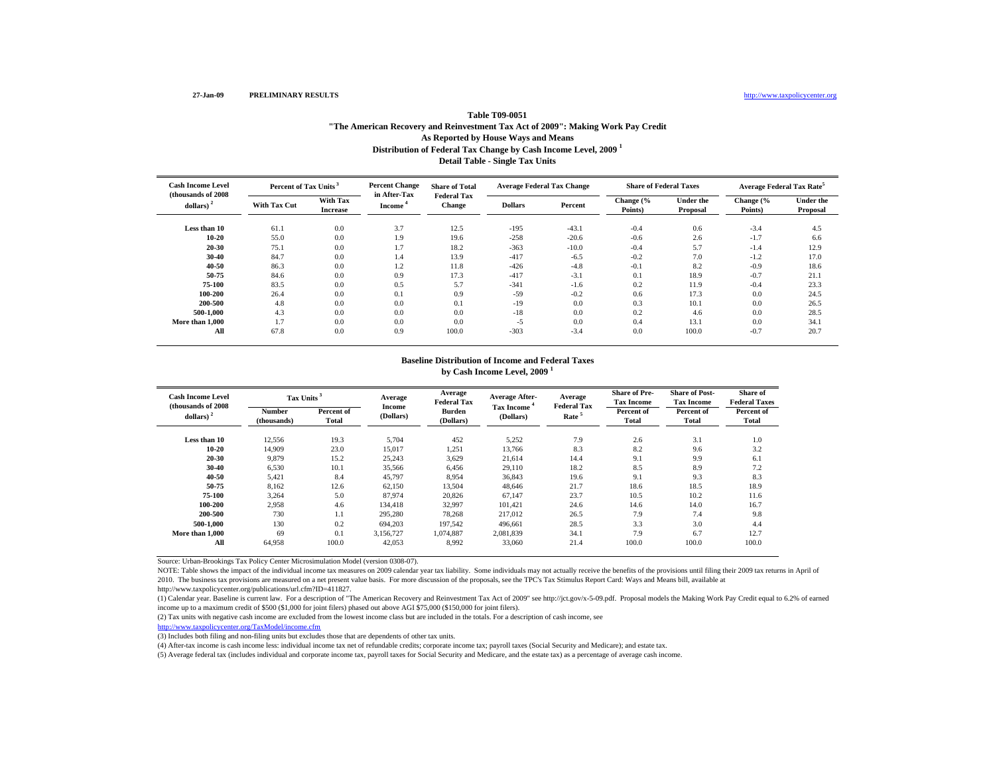http://www.taxpolicycenter.org

# **Distribution of Federal Tax Change by Cash Income Level, 2009 <sup>1</sup> Detail Table - Single Tax Units Table T09-0051"The American Recovery and Reinvestment Tax Act of 2009": Making Work Pay Credit As Reported by House Ways and Means**

| <b>Cash Income Level</b>                     | Percent of Tax Units <sup>3</sup> |                                    | <b>Percent Change</b>               | <b>Share of Total</b>        | <b>Average Federal Tax Change</b> |         | <b>Share of Federal Taxes</b> |                              | <b>Average Federal Tax Rate</b> |                              |
|----------------------------------------------|-----------------------------------|------------------------------------|-------------------------------------|------------------------------|-----------------------------------|---------|-------------------------------|------------------------------|---------------------------------|------------------------------|
| (thousands of 2008)<br>dollars) <sup>2</sup> | <b>With Tax Cut</b>               | <b>With Tax</b><br><b>Increase</b> | in After-Tax<br>Income <sup>4</sup> | <b>Federal Tax</b><br>Change | <b>Dollars</b>                    | Percent | Change (%<br>Points)          | <b>Under the</b><br>Proposal | Change (%<br>Points)            | <b>Under the</b><br>Proposal |
| Less than 10                                 | 61.1                              | 0.0                                | 3.7                                 | 12.5                         | $-195$                            | $-43.1$ | $-0.4$                        | 0.6                          | $-3.4$                          | 4.5                          |
| $10 - 20$                                    | 55.0                              | 0.0                                | 1.9                                 | 19.6                         | $-258$                            | $-20.6$ | $-0.6$                        | 2.6                          | $-1.7$                          | 6.6                          |
| 20-30                                        | 75.1                              | 0.0                                | 1.7                                 | 18.2                         | $-363$                            | $-10.0$ | $-0.4$                        | 5.7                          | $-1.4$                          | 12.9                         |
| 30-40                                        | 84.7                              | 0.0                                | 1.4                                 | 13.9                         | $-417$                            | $-6.5$  | $-0.2$                        | 7.0                          | $-1.2$                          | 17.0                         |
| 40-50                                        | 86.3                              | 0.0                                | 1.2                                 | 11.8                         | $-426$                            | $-4.8$  | $-0.1$                        | 8.2                          | $-0.9$                          | 18.6                         |
| 50-75                                        | 84.6                              | 0.0                                | 0.9                                 | 17.3                         | $-417$                            | $-3.1$  | 0.1                           | 18.9                         | $-0.7$                          | 21.1                         |
| 75-100                                       | 83.5                              | 0.0                                | 0.5                                 | 5.7                          | $-341$                            | $-1.6$  | 0.2                           | 11.9                         | $-0.4$                          | 23.3                         |
| 100-200                                      | 26.4                              | 0.0                                | 0.1                                 | 0.9                          | $-59$                             | $-0.2$  | 0.6                           | 17.3                         | 0.0                             | 24.5                         |
| 200-500                                      | 4.8                               | 0.0                                | 0.0                                 | 0.1                          | $-19$                             | 0.0     | 0.3                           | 10.1                         | 0.0                             | 26.5                         |
| 500-1.000                                    | 4.3                               | 0.0                                | 0.0                                 | 0.0                          | $-18$                             | 0.0     | 0.2                           | 4.6                          | 0.0                             | 28.5                         |
| More than 1,000                              | 1.7                               | 0.0                                | 0.0                                 | 0.0                          | $-5$                              | 0.0     | 0.4                           | 13.1                         | 0.0                             | 34.1                         |
| All                                          | 67.8                              | 0.0                                | 0.9                                 | 100.0                        | $-303$                            | $-3.4$  | 0.0                           | 100.0                        | $-0.7$                          | 20.7                         |

### **Baseline Distribution of Income and Federal Taxes by Cash Income Level, 2009 <sup>1</sup>**

| <b>Cash Income Level</b><br>(thousands of 2008) | Tax Units <sup>3</sup>       |                            | Average<br>Income | Average<br><b>Federal Tax</b> | Average After-          | Average<br><b>Federal Tax</b> | <b>Share of Pre-</b><br><b>Tax Income</b> | <b>Share of Post-</b><br><b>Tax Income</b> | Share of<br><b>Federal Taxes</b> |
|-------------------------------------------------|------------------------------|----------------------------|-------------------|-------------------------------|-------------------------|-------------------------------|-------------------------------------------|--------------------------------------------|----------------------------------|
| $dollars)$ <sup>2</sup>                         | <b>Number</b><br>(thousands) | Percent of<br><b>Total</b> | (Dollars)         | <b>Burden</b><br>(Dollars)    | Tax Income<br>(Dollars) | Rate <sup>5</sup>             | Percent of<br><b>Total</b>                | Percent of<br>Total                        | Percent of<br>Total              |
| Less than 10                                    | 12,556                       | 19.3                       | 5.704             | 452                           | 5,252                   | 7.9                           | 2.6                                       | 3.1                                        | 1.0                              |
| $10 - 20$                                       | 14.909                       | 23.0                       | 15,017            | 1,251                         | 13,766                  | 8.3                           | 8.2                                       | 9.6                                        | 3.2                              |
| $20 - 30$                                       | 9.879                        | 15.2                       | 25,243            | 3,629                         | 21,614                  | 14.4                          | 9.1                                       | 9.9                                        | 6.1                              |
| $30 - 40$                                       | 6,530                        | 10.1                       | 35,566            | 6,456                         | 29,110                  | 18.2                          | 8.5                                       | 8.9                                        | 7.2                              |
| 40-50                                           | 5,421                        | 8.4                        | 45,797            | 8,954                         | 36,843                  | 19.6                          | 9.1                                       | 9.3                                        | 8.3                              |
| 50-75                                           | 8,162                        | 12.6                       | 62,150            | 13,504                        | 48,646                  | 21.7                          | 18.6                                      | 18.5                                       | 18.9                             |
| 75-100                                          | 3.264                        | 5.0                        | 87.974            | 20,826                        | 67,147                  | 23.7                          | 10.5                                      | 10.2                                       | 11.6                             |
| 100-200                                         | 2,958                        | 4.6                        | 134,418           | 32,997                        | 101,421                 | 24.6                          | 14.6                                      | 14.0                                       | 16.7                             |
| 200-500                                         | 730                          | 1.1                        | 295.280           | 78,268                        | 217,012                 | 26.5                          | 7.9                                       | 7.4                                        | 9.8                              |
| 500-1.000                                       | 130                          | 0.2                        | 694.203           | 197.542                       | 496.661                 | 28.5                          | 3.3                                       | 3.0                                        | 4.4                              |
|                                                 | 69                           | 0.1                        | 3.156.727         | 1.074.887                     | 2.081.839               | 34.1                          | 7.9                                       | 6.7                                        | 12.7                             |
| More than 1,000<br>All                          | 64,958                       | 100.0                      | 42,053            | 8,992                         | 33,060                  | 21.4                          | 100.0                                     | 100.0                                      | 100.0                            |

Source: Urban-Brookings Tax Policy Center Microsimulation Model (version 0308-07).

NOTE: Table shows the impact of the individual income tax measures on 2009 calendar year tax liability. Some individuals may not actually receive the benefits of the provisions until filing their 2009 tax returns in April 2010. The business tax provisions are measured on a net present value basis. For more discussion of the proposals, see the TPC's Tax Stimulus Report Card: Ways and Means bill, available at

http://www.taxpolicycenter.org/publications/url.cfm?ID=411827.

(1) Calendar year. Baseline is current law. For a description of "The American Recovery and Reinvestment Tax Act of 2009" see http://jct.gov/x-5-09.pdf. Proposal models the Making Work Pay Credit equal to 6.2% of earned income up to a maximum credit of \$500 (\$1,000 for joint filers) phased out above AGI \$75,000 (\$150,000 for joint filers).

(2) Tax units with negative cash income are excluded from the lowest income class but are included in the totals. For a description of cash income, see

http://www.taxpolicycenter.org/TaxModel/income.cfm

(3) Includes both filing and non-filing units but excludes those that are dependents of other tax units.

(4) After-tax income is cash income less: individual income tax net of refundable credits; corporate income tax; payroll taxes (Social Security and Medicare); and estate tax.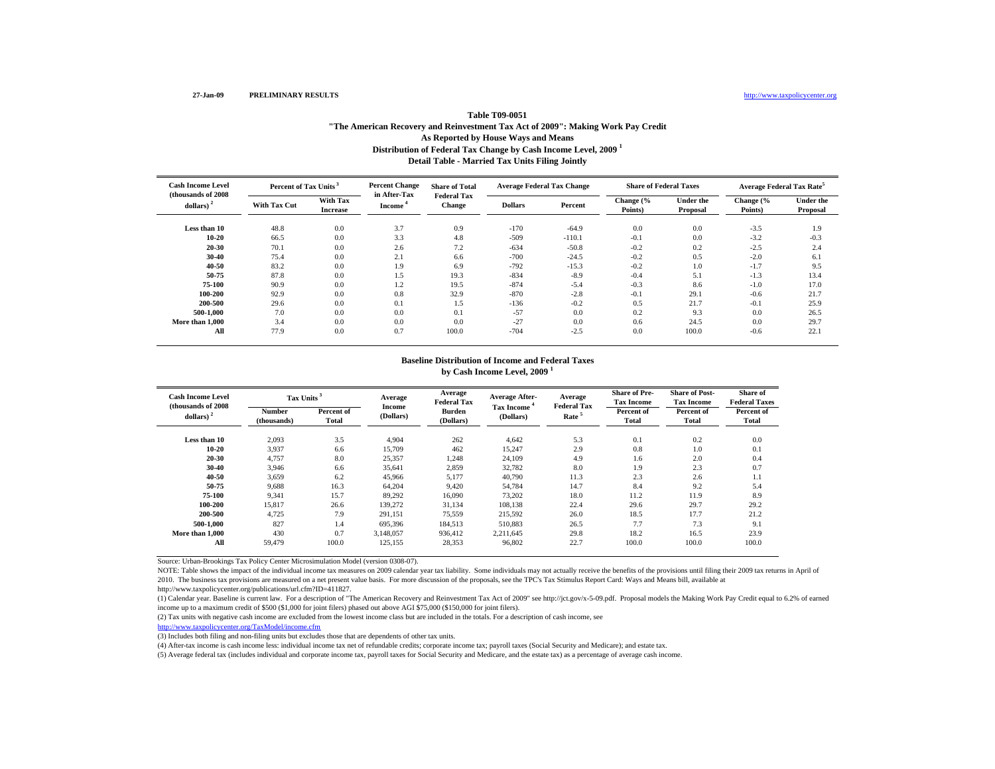http://www.taxpolicycenter.org

## **Distribution of Federal Tax Change by Cash Income Level, 2009 <sup>1</sup> Detail Table - Married Tax Units Filing Jointly Table T09-0051"The American Recovery and Reinvestment Tax Act of 2009": Making Work Pay Credit As Reported by House Ways and Means**

| <b>Cash Income Level</b>                     | Percent of Tax Units <sup>3</sup> |                                    | <b>Percent Change</b>               | <b>Share of Total</b>        | <b>Average Federal Tax Change</b> |          | <b>Share of Federal Taxes</b> |                              | <b>Average Federal Tax Rate</b> |                              |
|----------------------------------------------|-----------------------------------|------------------------------------|-------------------------------------|------------------------------|-----------------------------------|----------|-------------------------------|------------------------------|---------------------------------|------------------------------|
| (thousands of 2008)<br>dollars) <sup>2</sup> | <b>With Tax Cut</b>               | <b>With Tax</b><br><b>Increase</b> | in After-Tax<br>Income <sup>4</sup> | <b>Federal Tax</b><br>Change | <b>Dollars</b>                    | Percent  | Change (%<br>Points)          | <b>Under the</b><br>Proposal | Change (%<br>Points)            | <b>Under the</b><br>Proposal |
| Less than 10                                 | 48.8                              | 0.0                                | 3.7                                 | 0.9                          | $-170$                            | $-64.9$  | 0.0                           | 0.0                          | $-3.5$                          | 1.9                          |
| $10 - 20$                                    | 66.5                              | 0.0                                | 3.3                                 | 4.8                          | $-509$                            | $-110.1$ | $-0.1$                        | 0.0                          | $-3.2$                          | $-0.3$                       |
| 20-30                                        | 70.1                              | 0.0                                | 2.6                                 | 7.2                          | $-634$                            | $-50.8$  | $-0.2$                        | 0.2                          | $-2.5$                          | 2.4                          |
| 30-40                                        | 75.4                              | 0.0                                | 2.1                                 | 6.6                          | $-700$                            | $-24.5$  | $-0.2$                        | 0.5                          | $-2.0$                          | 6.1                          |
| 40-50                                        | 83.2                              | 0.0                                | 1.9                                 | 6.9                          | $-792$                            | $-15.3$  | $-0.2$                        | 1.0                          | $-1.7$                          | 9.5                          |
| 50-75                                        | 87.8                              | 0.0                                | 1.5                                 | 19.3                         | $-834$                            | $-8.9$   | $-0.4$                        | 5.1                          | $-1.3$                          | 13.4                         |
| 75-100                                       | 90.9                              | 0.0                                | 1.2                                 | 19.5                         | $-874$                            | $-5.4$   | $-0.3$                        | 8.6                          | $-1.0$                          | 17.0                         |
| 100-200                                      | 92.9                              | 0.0                                | 0.8                                 | 32.9                         | $-870$                            | $-2.8$   | $-0.1$                        | 29.1                         | $-0.6$                          | 21.7                         |
| 200-500                                      | 29.6                              | 0.0                                | 0.1                                 | 1.5                          | $-136$                            | $-0.2$   | 0.5                           | 21.7                         | $-0.1$                          | 25.9                         |
| 500-1.000                                    | 7.0                               | 0.0                                | 0.0                                 | 0.1                          | $-57$                             | 0.0      | 0.2                           | 9.3                          | 0.0                             | 26.5                         |
| More than 1,000                              | 3.4                               | 0.0                                | 0.0                                 | 0.0                          | $-27$                             | 0.0      | 0.6                           | 24.5                         | 0.0                             | 29.7                         |
| All                                          | 77.9                              | 0.0                                | 0.7                                 | 100.0                        | $-704$                            | $-2.5$   | 0.0                           | 100.0                        | $-0.6$                          | 22.1                         |

### **Baseline Distribution of Income and Federal Taxes by Cash Income Level, 2009 <sup>1</sup>**

| Cash Income Level<br>(thousands of 2008) |                              | Tax Units <sup>3</sup> |                            | Average<br><b>Federal Tax</b> | <b>Average After-</b>   | Average<br><b>Federal Tax</b> | <b>Share of Pre-</b><br><b>Tax Income</b> | <b>Share of Post-</b><br><b>Tax Income</b> | Share of<br><b>Federal Taxes</b> |
|------------------------------------------|------------------------------|------------------------|----------------------------|-------------------------------|-------------------------|-------------------------------|-------------------------------------------|--------------------------------------------|----------------------------------|
| dollars) $2$                             | <b>Number</b><br>(thousands) | Percent of<br>Total    | <b>Income</b><br>(Dollars) | <b>Burden</b><br>(Dollars)    | Tax Income<br>(Dollars) | Rate <sup>5</sup>             | Percent of<br><b>Total</b>                | Percent of<br>Total                        | Percent of<br>Total              |
| Less than 10                             | 2,093                        | 3.5                    | 4.904                      | 262                           | 4,642                   | 5.3                           | 0.1                                       | 0.2                                        | 0.0                              |
| $10 - 20$                                | 3,937                        | 6.6                    | 15,709                     | 462                           | 15,247                  | 2.9                           | 0.8                                       | 1.0                                        | 0.1                              |
| 20-30                                    | 4,757                        | 8.0                    | 25,357                     | 1,248                         | 24,109                  | 4.9                           | 1.6                                       | 2.0                                        | 0.4                              |
| 30-40                                    | 3,946                        | 6.6                    | 35,641                     | 2,859                         | 32,782                  | 8.0                           | 1.9                                       | 2.3                                        | 0.7                              |
| 40-50                                    | 3,659                        | 6.2                    | 45,966                     | 5,177                         | 40,790                  | 11.3                          | 2.3                                       | 2.6                                        | 1.1                              |
| 50-75                                    | 9,688                        | 16.3                   | 64,204                     | 9,420                         | 54,784                  | 14.7                          | 8.4                                       | 9.2                                        | 5.4                              |
| 75-100                                   | 9.341                        | 15.7                   | 89.292                     | 16,090                        | 73,202                  | 18.0                          | 11.2                                      | 11.9                                       | 8.9                              |
| 100-200                                  | 15,817                       | 26.6                   | 139,272                    | 31,134                        | 108,138                 | 22.4                          | 29.6                                      | 29.7                                       | 29.2                             |
| 200-500                                  | 4.725                        | 7.9                    | 291.151                    | 75,559                        | 215.592                 | 26.0                          | 18.5                                      | 17.7                                       | 21.2                             |
| 500-1.000                                | 827                          | 1.4                    | 695.396                    | 184,513                       | 510,883                 | 26.5                          | 7.7                                       | 7.3                                        | 9.1                              |
| More than 1,000                          | 430                          | 0.7                    | 3.148.057                  | 936.412                       | 2.211.645               | 29.8                          | 18.2                                      | 16.5                                       | 23.9                             |
| All                                      | 59,479                       | 100.0                  | 125,155                    | 28,353                        | 96,802                  | 22.7                          | 100.0                                     | 100.0                                      | 100.0                            |

Source: Urban-Brookings Tax Policy Center Microsimulation Model (version 0308-07).

NOTE: Table shows the impact of the individual income tax measures on 2009 calendar year tax liability. Some individuals may not actually receive the benefits of the provisions until filing their 2009 tax returns in April 2010. The business tax provisions are measured on a net present value basis. For more discussion of the proposals, see the TPC's Tax Stimulus Report Card: Ways and Means bill, available at

http://www.taxpolicycenter.org/publications/url.cfm?ID=411827.

(1) Calendar year. Baseline is current law. For a description of "The American Recovery and Reinvestment Tax Act of 2009" see http://jct.gov/x-5-09.pdf. Proposal models the Making Work Pay Credit equal to 6.2% of earned income up to a maximum credit of \$500 (\$1,000 for joint filers) phased out above AGI \$75,000 (\$150,000 for joint filers).

(2) Tax units with negative cash income are excluded from the lowest income class but are included in the totals. For a description of cash income, see

http://www.taxpolicycenter.org/TaxModel/income.cfm

(3) Includes both filing and non-filing units but excludes those that are dependents of other tax units.

(4) After-tax income is cash income less: individual income tax net of refundable credits; corporate income tax; payroll taxes (Social Security and Medicare); and estate tax.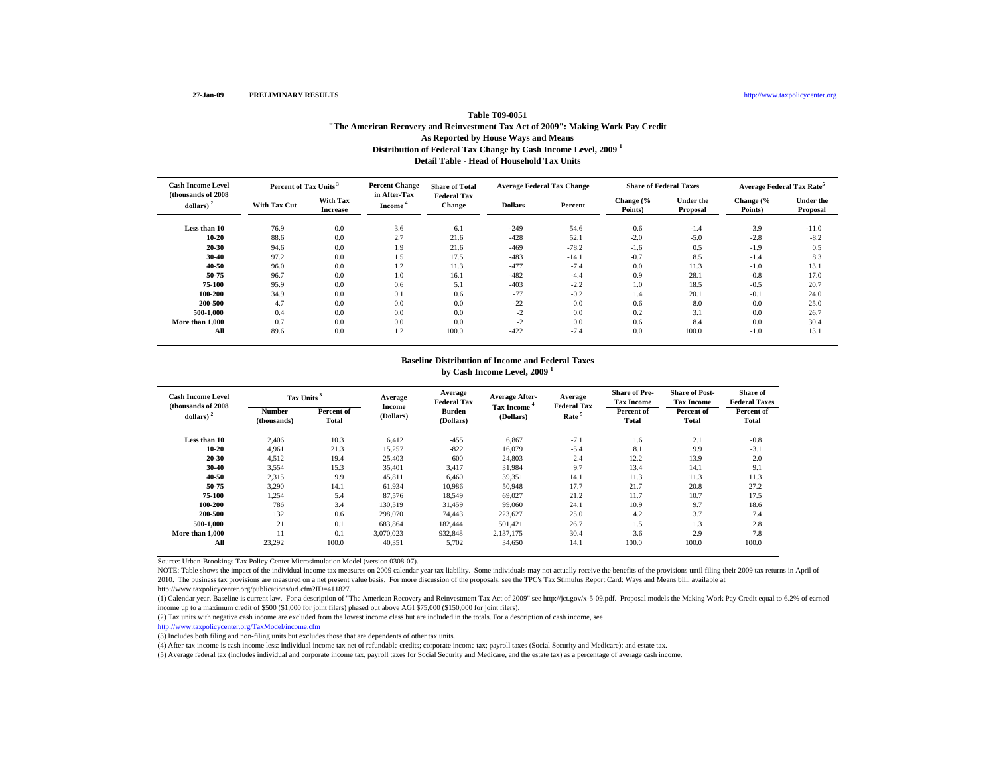http://www.taxpolicycenter.org

## **Distribution of Federal Tax Change by Cash Income Level, 2009 <sup>1</sup> Detail Table - Head of Household Tax Units Table T09-0051"The American Recovery and Reinvestment Tax Act of 2009": Making Work Pay Credit As Reported by House Ways and Means**

| <b>Cash Income Level</b>            | Percent of Tax Units <sup>3</sup> |                                    | <b>Percent Change</b>   | <b>Share of Total</b>               | <b>Average Federal Tax Change</b> |         | <b>Share of Federal Taxes</b> |                              | <b>Average Federal Tax Rate</b> |                       |
|-------------------------------------|-----------------------------------|------------------------------------|-------------------------|-------------------------------------|-----------------------------------|---------|-------------------------------|------------------------------|---------------------------------|-----------------------|
| (thousands of 2008)<br>dollars) $2$ | <b>With Tax Cut</b>               | <b>With Tax</b><br><b>Increase</b> | in After-Tax<br>Income' | <b>Federal Tax</b><br><b>Change</b> | <b>Dollars</b>                    | Percent | Change (%<br>Points)          | <b>Under the</b><br>Proposal | Change (%<br>Points)            | Under the<br>Proposal |
| Less than 10                        | 76.9                              | 0.0                                | 3.6                     | 6.1                                 | $-249$                            | 54.6    | $-0.6$                        | $-1.4$                       | $-3.9$                          | $-11.0$               |
| $10 - 20$                           | 88.6                              | 0.0                                | 2.7                     | 21.6                                | $-428$                            | 52.1    | $-2.0$                        | $-5.0$                       | $-2.8$                          | $-8.2$                |
| 20-30                               | 94.6                              | 0.0                                | 1.9                     | 21.6                                | $-469$                            | $-78.2$ | $-1.6$                        | 0.5                          | $-1.9$                          | 0.5                   |
| 30-40                               | 97.2                              | 0.0                                | 1.5                     | 17.5                                | $-483$                            | $-14.1$ | $-0.7$                        | 8.5                          | $-1.4$                          | 8.3                   |
| 40-50                               | 96.0                              | 0.0                                | 1.2                     | 11.3                                | $-477$                            | $-7.4$  | 0.0                           | 11.3                         | $-1.0$                          | 13.1                  |
| 50-75                               | 96.7                              | 0.0                                | 1.0                     | 16.1                                | $-482$                            | $-4.4$  | 0.9                           | 28.1                         | $-0.8$                          | 17.0                  |
| 75-100                              | 95.9                              | 0.0                                | 0.6                     | 5.1                                 | $-403$                            | $-2.2$  | 1.0                           | 18.5                         | $-0.5$                          | 20.7                  |
| 100-200                             | 34.9                              | 0.0                                | 0.1                     | 0.6                                 | $-77$                             | $-0.2$  | 1.4                           | 20.1                         | $-0.1$                          | 24.0                  |
| 200-500                             | 4.7                               | 0.0                                | 0.0                     | 0.0                                 | $-22$                             | 0.0     | 0.6                           | 8.0                          | 0.0                             | 25.0                  |
| 500-1.000                           | 0.4                               | 0.0                                | 0.0                     | 0.0                                 | $-2$                              | 0.0     | 0.2                           | 3.1                          | 0.0                             | 26.7                  |
| More than 1.000                     | 0.7                               | 0.0                                | 0.0                     | 0.0                                 | $-2$                              | 0.0     | 0.6                           | 8.4                          | 0.0                             | 30.4                  |
| All                                 | 89.6                              | 0.0                                | 1.2                     | 100.0                               | $-422$                            | $-7.4$  | 0.0                           | 100.0                        | $-1.0$                          | 13.1                  |

### **Baseline Distribution of Income and Federal Taxes by Cash Income Level, 2009 <sup>1</sup>**

| <b>Cash Income Level</b><br>(thousands of 2008) | Tax Units <sup>3</sup>       |                            | Average<br><b>Income</b> | Average<br><b>Federal Tax</b> | <b>Average After-</b>          | Average<br><b>Federal Tax</b> | <b>Share of Pre-</b><br><b>Tax Income</b> | <b>Share of Post-</b><br><b>Tax Income</b> | Share of<br><b>Federal Taxes</b> |
|-------------------------------------------------|------------------------------|----------------------------|--------------------------|-------------------------------|--------------------------------|-------------------------------|-------------------------------------------|--------------------------------------------|----------------------------------|
| $dollars)$ <sup>2</sup>                         | <b>Number</b><br>(thousands) | Percent of<br><b>Total</b> | (Dollars)                | <b>Burden</b><br>(Dollars)    | <b>Tax Income</b><br>(Dollars) | Rate <sup>5</sup>             | Percent of<br><b>Total</b>                | Percent of<br>Total                        | Percent of<br>Total              |
| Less than 10                                    | 2.406                        | 10.3                       | 6.412                    | $-455$                        | 6,867                          | $-7.1$                        | 1.6                                       | 2.1                                        | $-0.8$                           |
| $10 - 20$                                       | 4.961                        | 21.3                       | 15,257                   | $-822$                        | 16.079                         | $-5.4$                        | 8.1                                       | 9.9                                        | $-3.1$                           |
| $20 - 30$                                       | 4.512                        | 19.4                       | 25,403                   | 600                           | 24,803                         | 2.4                           | 12.2                                      | 13.9                                       | 2.0                              |
| $30 - 40$                                       | 3,554                        | 15.3                       | 35,401                   | 3,417                         | 31,984                         | 9.7                           | 13.4                                      | 14.1                                       | 9.1                              |
| 40-50                                           | 2,315                        | 9.9                        | 45,811                   | 6,460                         | 39,351                         | 14.1                          | 11.3                                      | 11.3                                       | 11.3                             |
| 50-75                                           | 3,290                        | 14.1                       | 61,934                   | 10,986                        | 50,948                         | 17.7                          | 21.7                                      | 20.8                                       | 27.2                             |
| 75-100                                          | 1,254                        | 5.4                        | 87.576                   | 18,549                        | 69,027                         | 21.2                          | 11.7                                      | 10.7                                       | 17.5                             |
| 100-200                                         | 786                          | 3.4                        | 130,519                  | 31,459                        | 99,060                         | 24.1                          | 10.9                                      | 9.7                                        | 18.6                             |
| 200-500                                         | 132                          | 0.6                        | 298,070                  | 74.443                        | 223.627                        | 25.0                          | 4.2                                       | 3.7                                        | 7.4                              |
| 500-1.000                                       | 21                           | 0.1                        | 683,864                  | 182.444                       | 501.421                        | 26.7                          | 1.5                                       | 1.3                                        | 2.8                              |
| More than 1,000                                 | 11                           | 0.1                        | 3.070.023                | 932,848                       | 2.137.175                      | 30.4                          | 3.6                                       | 2.9                                        | 7.8                              |
| All                                             | 23,292                       | 100.0                      | 40,351                   | 5,702                         | 34,650                         | 14.1                          | 100.0                                     | 100.0                                      | 100.0                            |

Source: Urban-Brookings Tax Policy Center Microsimulation Model (version 0308-07).

NOTE: Table shows the impact of the individual income tax measures on 2009 calendar year tax liability. Some individuals may not actually receive the benefits of the provisions until filing their 2009 tax returns in April 2010. The business tax provisions are measured on a net present value basis. For more discussion of the proposals, see the TPC's Tax Stimulus Report Card: Ways and Means bill, available at

http://www.taxpolicycenter.org/publications/url.cfm?ID=411827.

(1) Calendar year. Baseline is current law. For a description of "The American Recovery and Reinvestment Tax Act of 2009" see http://jct.gov/x-5-09.pdf. Proposal models the Making Work Pay Credit equal to 6.2% of earned income up to a maximum credit of \$500 (\$1,000 for joint filers) phased out above AGI \$75,000 (\$150,000 for joint filers).

(2) Tax units with negative cash income are excluded from the lowest income class but are included in the totals. For a description of cash income, see

http://www.taxpolicycenter.org/TaxModel/income.cfm

(3) Includes both filing and non-filing units but excludes those that are dependents of other tax units.

(4) After-tax income is cash income less: individual income tax net of refundable credits; corporate income tax; payroll taxes (Social Security and Medicare); and estate tax.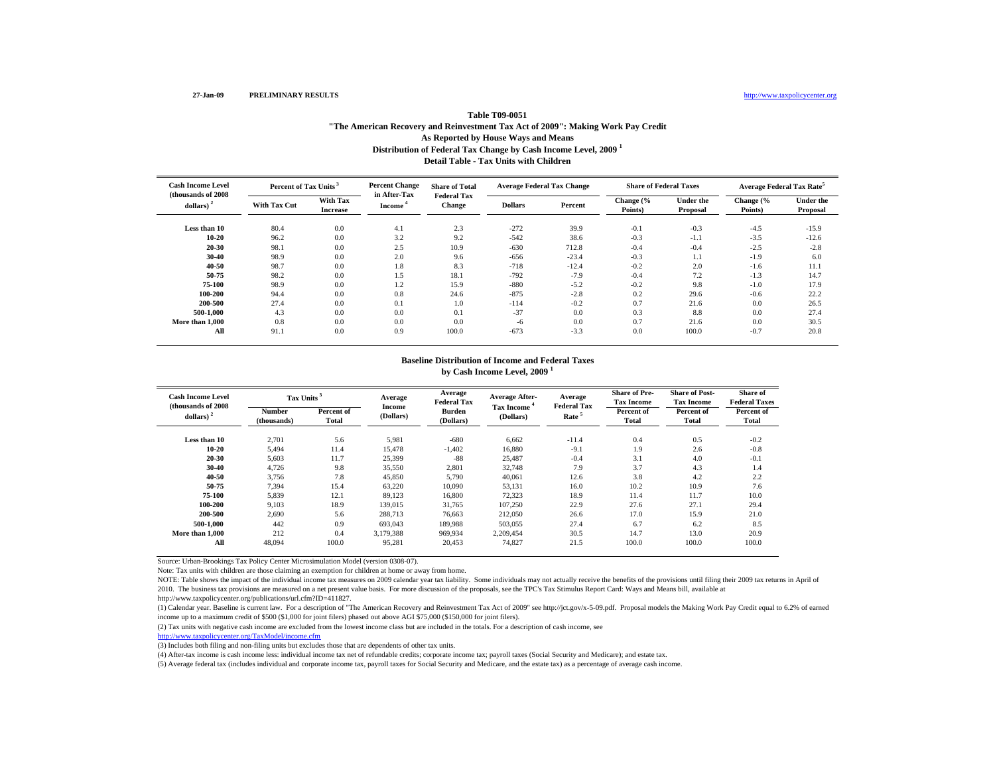http://www.taxpolicycenter.org

# **Distribution of Federal Tax Change by Cash Income Level, 2009 <sup>1</sup> Detail Table - Tax Units with ChildrenTable T09-0051"The American Recovery and Reinvestment Tax Act of 2009": Making Work Pay Credit As Reported by House Ways and Means**

| <b>Cash Income Level</b><br>(thousands of 2008) | Percent of Tax Units <sup>3</sup> |                                    | <b>Percent Change</b>               | <b>Share of Total</b>               | <b>Average Federal Tax Change</b> |         | <b>Share of Federal Taxes</b> |                       | <b>Average Federal Tax Rate</b> |                       |
|-------------------------------------------------|-----------------------------------|------------------------------------|-------------------------------------|-------------------------------------|-----------------------------------|---------|-------------------------------|-----------------------|---------------------------------|-----------------------|
| dollars) <sup>2</sup>                           | <b>With Tax Cut</b>               | <b>With Tax</b><br><b>Increase</b> | in After-Tax<br>Income <sup>4</sup> | <b>Federal Tax</b><br><b>Change</b> | <b>Dollars</b>                    | Percent | Change (%<br>Points)          | Under the<br>Proposal | Change (%<br>Points)            | Under the<br>Proposal |
| Less than 10                                    | 80.4                              | 0.0                                | 4.1                                 | 2.3                                 | $-272$                            | 39.9    | $-0.1$                        | $-0.3$                | $-4.5$                          | $-15.9$               |
| $10 - 20$                                       | 96.2                              | 0.0                                | 3.2                                 | 9.2                                 | $-542$                            | 38.6    | $-0.3$                        | $-1.1$                | $-3.5$                          | $-12.6$               |
| 20-30                                           | 98.1                              | 0.0                                | 2.5                                 | 10.9                                | $-630$                            | 712.8   | $-0.4$                        | $-0.4$                | $-2.5$                          | $-2.8$                |
| 30-40                                           | 98.9                              | 0.0                                | 2.0                                 | 9.6                                 | $-656$                            | $-23.4$ | $-0.3$                        | 1.1                   | $-1.9$                          | 6.0                   |
| 40-50                                           | 98.7                              | 0.0                                | 1.8                                 | 8.3                                 | $-718$                            | $-12.4$ | $-0.2$                        | 2.0                   | $-1.6$                          | 11.1                  |
| 50-75                                           | 98.2                              | 0.0                                | 1.5                                 | 18.1                                | $-792$                            | $-7.9$  | $-0.4$                        | 7.2                   | $-1.3$                          | 14.7                  |
| 75-100                                          | 98.9                              | 0.0                                | 1.2                                 | 15.9                                | $-880$                            | $-5.2$  | $-0.2$                        | 9.8                   | $-1.0$                          | 17.9                  |
| 100-200                                         | 94.4                              | 0.0                                | 0.8                                 | 24.6                                | $-875$                            | $-2.8$  | 0.2                           | 29.6                  | $-0.6$                          | 22.2                  |
| 200-500                                         | 27.4                              | 0.0                                | 0.1                                 | 1.0                                 | $-114$                            | $-0.2$  | 0.7                           | 21.6                  | 0.0                             | 26.5                  |
| 500-1.000                                       | 4.3                               | 0.0                                | 0.0                                 | 0.1                                 | $-37$                             | 0.0     | 0.3                           | 8.8                   | 0.0                             | 27.4                  |
| More than 1,000                                 | 0.8                               | 0.0                                | 0.0                                 | 0.0                                 | $-6$                              | 0.0     | 0.7                           | 21.6                  | 0.0                             | 30.5                  |
| All                                             | 91.1                              | 0.0                                | 0.9                                 | 100.0                               | $-673$                            | $-3.3$  | 0.0                           | 100.0                 | $-0.7$                          | 20.8                  |

### **Baseline Distribution of Income and Federal Taxes by Cash Income Level, 2009 <sup>1</sup>**

| <b>Cash Income Level</b><br>(thousands of 2008) | Tax Units <sup>3</sup>       |                     | Average<br><b>Income</b> | Average<br><b>Federal Tax</b> | Average After-                 | Average<br><b>Federal Tax</b> | <b>Share of Pre-</b><br><b>Tax Income</b> | <b>Share of Post-</b><br><b>Tax Income</b> | Share of<br><b>Federal Taxes</b> |
|-------------------------------------------------|------------------------------|---------------------|--------------------------|-------------------------------|--------------------------------|-------------------------------|-------------------------------------------|--------------------------------------------|----------------------------------|
| dollars) $2$                                    | <b>Number</b><br>(thousands) | Percent of<br>Total | (Dollars)                | <b>Burden</b><br>(Dollars)    | <b>Tax Income</b><br>(Dollars) | Rate <sup>5</sup>             | Percent of<br>Total                       | Percent of<br>Total                        | Percent of<br>Total              |
| Less than 10                                    | 2.701                        | 5.6                 | 5,981                    | $-680$                        | 6.662                          | $-11.4$                       | 0.4                                       | 0.5                                        | $-0.2$                           |
| $10 - 20$                                       | 5.494                        | 11.4                | 15,478                   | $-1,402$                      | 16.880                         | $-9.1$                        | 1.9                                       | 2.6                                        | $-0.8$                           |
| 20-30                                           | 5,603                        | 11.7                | 25,399                   | $-88$                         | 25,487                         | $-0.4$                        | 3.1                                       | 4.0                                        | $-0.1$                           |
| 30-40                                           | 4,726                        | 9.8                 | 35,550                   | 2,801                         | 32,748                         | 7.9                           | 3.7                                       | 4.3                                        | 1.4                              |
| 40-50                                           | 3,756                        | 7.8                 | 45,850                   | 5,790                         | 40,061                         | 12.6                          | 3.8                                       | 4.2                                        | 2.2                              |
| 50-75                                           | 7,394                        | 15.4                | 63,220                   | 10,090                        | 53,131                         | 16.0                          | 10.2                                      | 10.9                                       | 7.6                              |
| 75-100                                          | 5,839                        | 12.1                | 89,123                   | 16.800                        | 72,323                         | 18.9                          | 11.4                                      | 11.7                                       | 10.0                             |
| 100-200                                         | 9,103                        | 18.9                | 139,015                  | 31,765                        | 107,250                        | 22.9                          | 27.6                                      | 27.1                                       | 29.4                             |
| 200-500                                         | 2,690                        | 5.6                 | 288,713                  | 76,663                        | 212,050                        | 26.6                          | 17.0                                      | 15.9                                       | 21.0                             |
| 500-1.000                                       | 442                          | 0.9                 | 693,043                  | 189,988                       | 503,055                        | 27.4                          | 6.7                                       | 6.2                                        | 8.5                              |
| More than 1,000                                 | 212                          | 0.4                 | 3,179,388                | 969,934                       | 2.209.454                      | 30.5                          | 14.7                                      | 13.0                                       | 20.9                             |
| All                                             | 48,094                       | 100.0               | 95,281                   | 20,453                        | 74,827                         | 21.5                          | 100.0                                     | 100.0                                      | 100.0                            |

Source: Urban-Brookings Tax Policy Center Microsimulation Model (version 0308-07).

Note: Tax units with children are those claiming an exemption for children at home or away from home.

NOTE: Table shows the impact of the individual income tax measures on 2009 calendar year tax liability. Some individuals may not actually receive the benefits of the provisions until filing their 2009 tax returns in April of 2010. The business tax provisions are measured on a net present value basis. For more discussion of the proposals, see the TPC's Tax Stimulus Report Card: Ways and Means bill, available at

http://www.taxpolicycenter.org/publications/url.cfm?ID=411827.

(1) Calendar year. Baseline is current law. For a description of "The American Recovery and Reinvestment Tax Act of 2009" see http://jct.gov/x-5-09.pdf. Proposal models the Making Work Pay Credit equal to 6.2% of earned income up to a maximum credit of \$500 (\$1,000 for joint filers) phased out above AGI \$75,000 (\$150,000 for joint filers).

(2) Tax units with negative cash income are excluded from the lowest income class but are included in the totals. For a description of cash income, see

http://www.taxpolicycenter.org/TaxModel/income.cfm

(3) Includes both filing and non-filing units but excludes those that are dependents of other tax units.

(4) After-tax income is cash income less: individual income tax net of refundable credits; corporate income tax; payroll taxes (Social Security and Medicare); and estate tax.